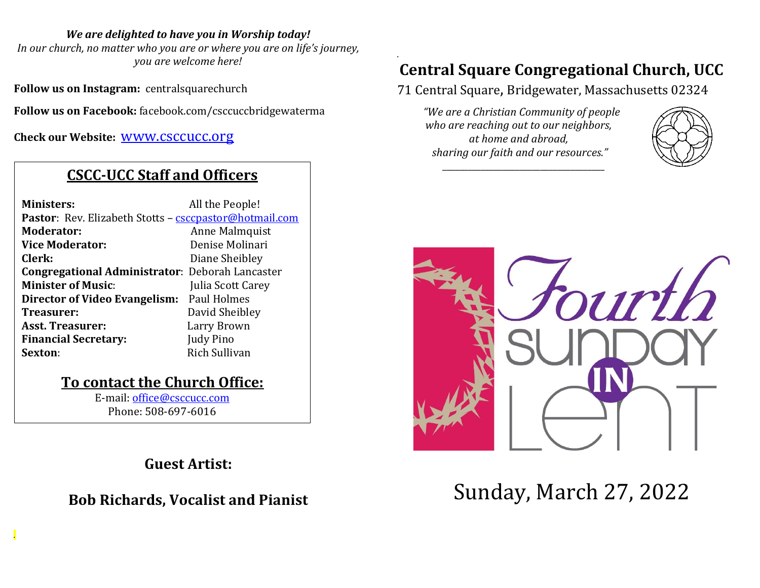#### *We are delighted to have you in Worship today!*

*In our church, no matter who you are or where you are on life's journey, you are welcome here!*

**Follow us on Instagram:** centralsquarechurch

**Follow us on Facebook:** facebook.com/csccuccbridgewaterma

**Check our Website:** [www.csccucc.org](about:blank)

## **CSCC-UCC Staff and Officers**

| <b>Ministers:</b>                                                    | All the People!   |
|----------------------------------------------------------------------|-------------------|
| <b>Pastor:</b> Rev. Elizabeth Stotts - <b>csccpastor@hotmail.com</b> |                   |
| Moderator:                                                           | Anne Malmquist    |
| <b>Vice Moderator:</b>                                               | Denise Molinari   |
| Clerk:                                                               | Diane Sheibley    |
| <b>Congregational Administrator: Deborah Lancaster</b>               |                   |
| <b>Minister of Music:</b>                                            | Julia Scott Carey |
| Director of Video Evangelism: Paul Holmes                            |                   |
| Treasurer:                                                           | David Sheibley    |
| <b>Asst. Treasurer:</b>                                              | Larry Brown       |
| <b>Financial Secretary:</b>                                          | Judy Pino         |
| Sexton:                                                              | Rich Sullivan     |
|                                                                      |                   |

### **To contact the Church Office:**

E-mail: [office@csccucc.com](mailto:office@csccucc.com) Phone: 508-697-6016

*.*

## **Guest Artist:**

## **Bob Richards, Vocalist and Pianist**

### *.* **Central Square Congregational Church, UCC**

71 Central Square, Bridgewater, Massachusetts 02324

*"We are a Christian Community of people who are reaching out to our neighbors, at home and abroad, sharing our faith and our resources."*

*\_\_\_\_\_\_\_\_\_\_\_\_\_\_\_\_\_\_\_\_\_\_\_\_\_\_\_\_\_\_\_\_\_\_\_\_\_\_*





# Sunday, March 27, 2022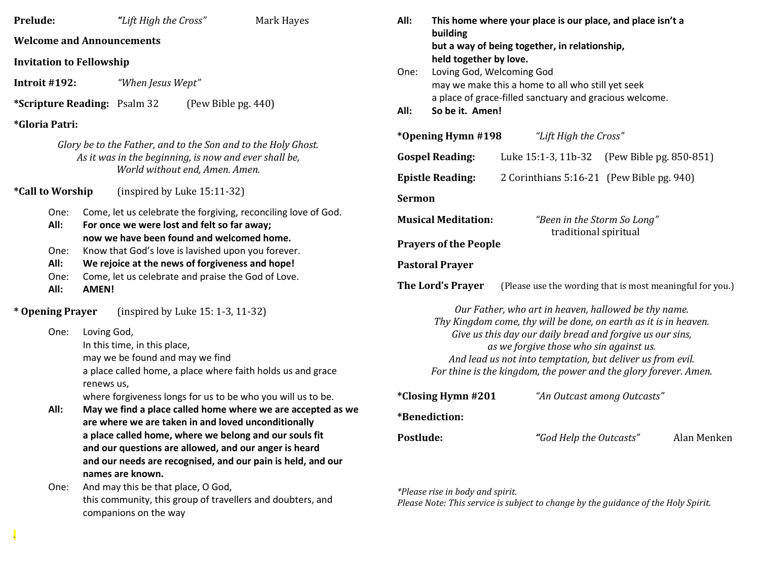| Prelude:                                                                                                                                              |               | "Lift High the Cross"                                                                                                                                                                                                                                               |                                                             | Mark Hayes                                                                                                                                                                     | All:                                                                                                                                                                                                                                                                                                       | This home where your place is our place, and place isn't a                                                                                                            |                                             |                                           |  |             |
|-------------------------------------------------------------------------------------------------------------------------------------------------------|---------------|---------------------------------------------------------------------------------------------------------------------------------------------------------------------------------------------------------------------------------------------------------------------|-------------------------------------------------------------|--------------------------------------------------------------------------------------------------------------------------------------------------------------------------------|------------------------------------------------------------------------------------------------------------------------------------------------------------------------------------------------------------------------------------------------------------------------------------------------------------|-----------------------------------------------------------------------------------------------------------------------------------------------------------------------|---------------------------------------------|-------------------------------------------|--|-------------|
| <b>Welcome and Announcements</b>                                                                                                                      |               |                                                                                                                                                                                                                                                                     |                                                             |                                                                                                                                                                                |                                                                                                                                                                                                                                                                                                            | building<br>but a way of being together, in relationship,<br>held together by love.<br>Loving God, Welcoming God<br>may we make this a home to all who still yet seek |                                             |                                           |  |             |
| <b>Invitation to Fellowship</b>                                                                                                                       |               |                                                                                                                                                                                                                                                                     |                                                             | One:                                                                                                                                                                           |                                                                                                                                                                                                                                                                                                            |                                                                                                                                                                       |                                             |                                           |  |             |
| Introit #192:<br>"When Jesus Wept"                                                                                                                    |               |                                                                                                                                                                                                                                                                     |                                                             |                                                                                                                                                                                |                                                                                                                                                                                                                                                                                                            |                                                                                                                                                                       |                                             |                                           |  |             |
| *Scripture Reading: Psalm 32<br>(Pew Bible pg. 440)                                                                                                   |               |                                                                                                                                                                                                                                                                     | All:                                                        | a place of grace-filled sanctuary and gracious welcome.<br>So be it. Amen!                                                                                                     |                                                                                                                                                                                                                                                                                                            |                                                                                                                                                                       |                                             |                                           |  |             |
| <i>*Gloria Patri:</i>                                                                                                                                 |               |                                                                                                                                                                                                                                                                     |                                                             |                                                                                                                                                                                |                                                                                                                                                                                                                                                                                                            |                                                                                                                                                                       |                                             |                                           |  |             |
| Glory be to the Father, and to the Son and to the Holy Ghost.<br>As it was in the beginning, is now and ever shall be,                                |               | *Opening Hymn #198<br>"Lift High the Cross"                                                                                                                                                                                                                         |                                                             |                                                                                                                                                                                |                                                                                                                                                                                                                                                                                                            |                                                                                                                                                                       |                                             |                                           |  |             |
|                                                                                                                                                       |               |                                                                                                                                                                                                                                                                     |                                                             |                                                                                                                                                                                | <b>Gospel Reading:</b>                                                                                                                                                                                                                                                                                     |                                                                                                                                                                       | Luke 15:1-3, 11b-32 (Pew Bible pg. 850-851) |                                           |  |             |
|                                                                                                                                                       |               | World without end, Amen. Amen.                                                                                                                                                                                                                                      |                                                             |                                                                                                                                                                                |                                                                                                                                                                                                                                                                                                            | <b>Epistle Reading:</b>                                                                                                                                               |                                             | 2 Corinthians 5:16-21 (Pew Bible pg. 940) |  |             |
| <i><b>*Call to Worship</b></i><br>(inspired by Luke 15:11-32)                                                                                         |               | <b>Sermon</b>                                                                                                                                                                                                                                                       |                                                             |                                                                                                                                                                                |                                                                                                                                                                                                                                                                                                            |                                                                                                                                                                       |                                             |                                           |  |             |
| All:                                                                                                                                                  | One:          | Come, let us celebrate the forgiving, reconciling love of God.<br>For once we were lost and felt so far away;<br>now we have been found and welcomed home.<br>Know that God's love is lavished upon you forever.<br>We rejoice at the news of forgiveness and hope! |                                                             |                                                                                                                                                                                |                                                                                                                                                                                                                                                                                                            | <b>Musical Meditation:</b><br>"Been in the Storm So Long"<br>traditional spiritual                                                                                    |                                             |                                           |  |             |
|                                                                                                                                                       |               |                                                                                                                                                                                                                                                                     |                                                             |                                                                                                                                                                                | <b>Prayers of the People</b><br><b>Pastoral Prayer</b>                                                                                                                                                                                                                                                     |                                                                                                                                                                       |                                             |                                           |  |             |
| All:                                                                                                                                                  | One:          |                                                                                                                                                                                                                                                                     |                                                             |                                                                                                                                                                                |                                                                                                                                                                                                                                                                                                            |                                                                                                                                                                       |                                             |                                           |  |             |
| All:                                                                                                                                                  | One:<br>AMEN! | Come, let us celebrate and praise the God of Love.                                                                                                                                                                                                                  |                                                             | The Lord's Prayer<br>(Please use the wording that is most meaningful for you.)                                                                                                 |                                                                                                                                                                                                                                                                                                            |                                                                                                                                                                       |                                             |                                           |  |             |
| * Opening Prayer<br>(inspired by Luke 15: 1-3, 11-32)                                                                                                 |               |                                                                                                                                                                                                                                                                     | Our Father, who art in heaven, hallowed be thy name.        |                                                                                                                                                                                |                                                                                                                                                                                                                                                                                                            |                                                                                                                                                                       |                                             |                                           |  |             |
| Loving God,<br>One:<br>In this time, in this place,<br>may we be found and may we find<br>a place called home, a place where faith holds us and grace |               |                                                                                                                                                                                                                                                                     |                                                             |                                                                                                                                                                                | Thy Kingdom come, thy will be done, on earth as it is in heaven.<br>Give us this day our daily bread and forgive us our sins,<br>as we forgive those who sin against us.<br>And lead us not into temptation, but deliver us from evil.<br>For thine is the kingdom, the power and the glory forever. Amen. |                                                                                                                                                                       |                                             |                                           |  |             |
|                                                                                                                                                       | renews us,    |                                                                                                                                                                                                                                                                     | where forgiveness longs for us to be who you will us to be. |                                                                                                                                                                                | *Closing Hymn #201                                                                                                                                                                                                                                                                                         |                                                                                                                                                                       | "An Outcast among Outcasts"                 |                                           |  |             |
| All:                                                                                                                                                  |               | May we find a place called home where we are accepted as we<br>are where we are taken in and loved unconditionally                                                                                                                                                  |                                                             |                                                                                                                                                                                |                                                                                                                                                                                                                                                                                                            | *Benediction:                                                                                                                                                         |                                             |                                           |  |             |
|                                                                                                                                                       | One:          | names are known.<br>And may this be that place, O God,                                                                                                                                                                                                              |                                                             | a place called home, where we belong and our souls fit<br>and our questions are allowed, and our anger is heard<br>and our needs are recognised, and our pain is held, and our | Postlude:                                                                                                                                                                                                                                                                                                  | *Please rise in body and spirit.                                                                                                                                      |                                             | "God Help the Outcasts"                   |  | Alan Menken |
|                                                                                                                                                       |               | this community, this group of travellers and doubters, and<br>companions on the way                                                                                                                                                                                 |                                                             |                                                                                                                                                                                | Please Note: This service is subject to change by the guidance of the Holy Spirit.                                                                                                                                                                                                                         |                                                                                                                                                                       |                                             |                                           |  |             |

*.*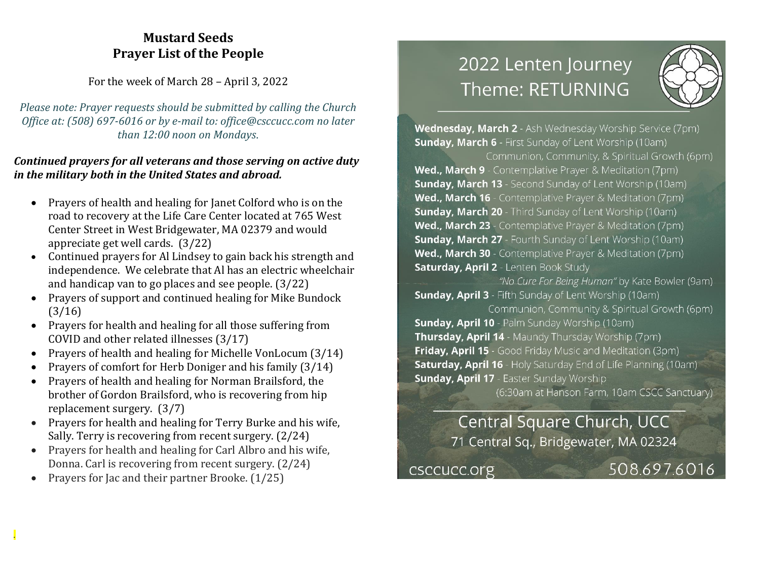### **Mustard Seeds Prayer List of the People**

For the week of March 28 – April 3, 2022

*Please note: Prayer requests should be submitted by calling the Church Office at: (508) 697-6016 or by e-mail to: office@csccucc.com no later than 12:00 noon on Mondays.*

### *Continued prayers for all veterans and those serving on active duty in the military both in the United States and abroad.*

- Prayers of health and healing for Janet Colford who is on the road to recovery at the Life Care Center located at 765 West Center Street in West Bridgewater, MA 02379 and would appreciate get well cards. (3/22)
- Continued prayers for Al Lindsey to gain back his strength and independence. We celebrate that Al has an electric wheelchair and handicap van to go places and see people. (3/22)
- Prayers of support and continued healing for Mike Bundock (3/16)
- Prayers for health and healing for all those suffering from COVID and other related illnesses (3/17)
- Prayers of health and healing for Michelle VonLocum (3/14)
- Prayers of comfort for Herb Doniger and his family (3/14)
- Prayers of health and healing for Norman Brailsford, the brother of Gordon Brailsford, who is recovering from hip replacement surgery. (3/7)
- Prayers for health and healing for Terry Burke and his wife, Sally. Terry is recovering from recent surgery. (2/24)
- Prayers for health and healing for Carl Albro and his wife, Donna. Carl is recovering from recent surgery. (2/24)
- Prayers for Jac and their partner Brooke. (1/25)

*.*

## 2022 Lenten Journey Theme: RETURNING



Wednesday, March 2 - Ash Wednesday Worship Service (7pm) **Sunday, March 6** - First Sunday of Lent Worship (10am)

Communion, Community, & Spiritual Growth (6pm) Wed., March 9 - Contemplative Prayer & Meditation (7pm) **Sunday, March 13** - Second Sunday of Lent Worship (10am) Wed., March 16 - Contemplative Prayer & Meditation (7pm) **Sunday, March 20** - Third Sunday of Lent Worship (10am) Wed., March 23 - Contemplative Prayer & Meditation (7pm) **Sunday, March 27** - Fourth Sunday of Lent Worship (10am) Wed., March 30 - Contemplative Prayer & Meditation (7pm) **Saturday, April 2** - Lenten Book Study

"No Cure For Being Human" by Kate Bowler (9am) **Sunday, April 3** - Fifth Sunday of Lent Worship (10am)

Communion, Community & Spiritual Growth (6pm) **Sunday, April 10** - Palm Sunday Worship (10am) Thursday, April 14 - Maundy Thursday Worship (7pm) **Friday, April 15** - Good Friday Music and Meditation (3pm) **Saturday, April 16** - Holy Saturday End of Life Planning (10am) **Sunday, April 17 - Easter Sunday Worship** 

(6:30am at Hanson Farm, 10am CSCC Sanctuary)

Central Square Church, UCC 71 Central Sq., Bridgewater, MA 02324

csccucc.org

508.697.6016